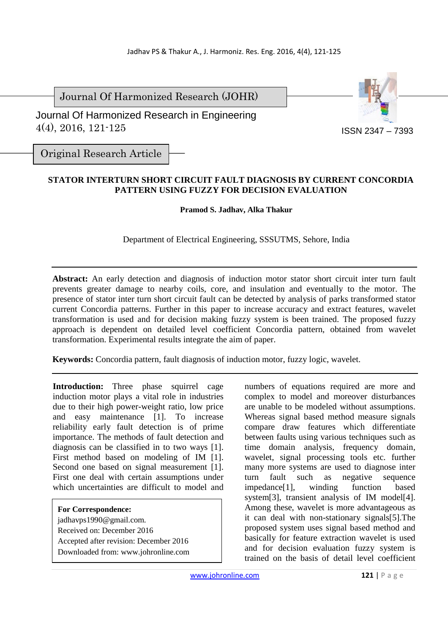Journal Of Harmonized Research (JOHR)

 Journal Of Harmonized Research in Engineering 4(4), 2016, 121-125



Original Research Article

## **STATOR INTERTURN SHORT CIRCUIT FAULT DIAGNOSIS BY CURRENT CONCORDIA PATTERN USING FUZZY FOR DECISION EVALUATION**

**Pramod S. Jadhav, Alka Thakur**

Department of Electrical Engineering, SSSUTMS, Sehore, India

**Abstract:** An early detection and diagnosis of induction motor stator short circuit inter turn fault prevents greater damage to nearby coils, core, and insulation and eventually to the motor. The presence of stator inter turn short circuit fault can be detected by analysis of parks transformed stator current Concordia patterns. Further in this paper to increase accuracy and extract features, wavelet transformation is used and for decision making fuzzy system is been trained. The proposed fuzzy approach is dependent on detailed level coefficient Concordia pattern, obtained from wavelet transformation. Experimental results integrate the aim of paper.

**Keywords:** Concordia pattern, fault diagnosis of induction motor, fuzzy logic, wavelet.

**Introduction:** Three phase squirrel cage induction motor plays a vital role in industries due to their high power-weight ratio, low price and easy maintenance [1]. To increase reliability early fault detection is of prime importance. The methods of fault detection and diagnosis can be classified in to two ways [1]. First method based on modeling of IM [1]. Second one based on signal measurement [1]. First one deal with certain assumptions under which uncertainties are difficult to model and

**For Correspondence:**  jadhavps1990@gmail.com. Received on: December 2016 Accepted after revision: December 2016 Downloaded from: www.johronline.com numbers of equations required are more and complex to model and moreover disturbances are unable to be modeled without assumptions. Whereas signal based method measure signals compare draw features which differentiate between faults using various techniques such as time domain analysis, frequency domain, wavelet, signal processing tools etc. further many more systems are used to diagnose inter turn fault such as negative sequence impedance[1], winding function based system[3], transient analysis of IM model[4]. Among these, wavelet is more advantageous as it can deal with non-stationary signals[5].The proposed system uses signal based method and basically for feature extraction wavelet is used and for decision evaluation fuzzy system is trained on the basis of detail level coefficient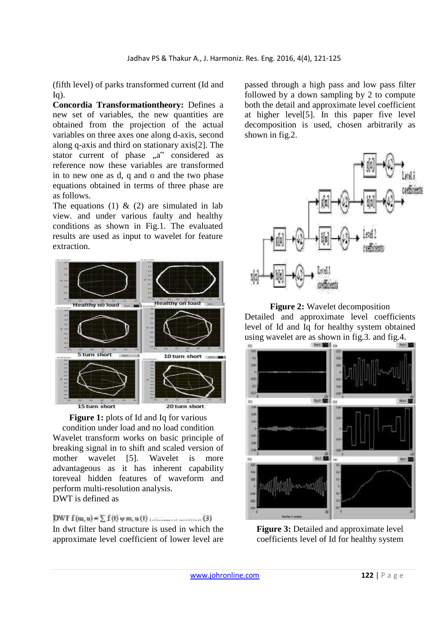(fifth level) of parks transformed current (Id and  $Iq$ ).

**Concordia Transformationtheory:** Defines a new set of variables, the new quantities are obtained from the projection of the actual variables on three axes one along d-axis, second along q-axis and third on stationary axis[2]. The stator current of phase  $a^*$  considered as reference now these variables are transformed in to new one as d, q and o and the two phase equations obtained in terms of three phase are as follows.

The equations (1)  $\&$  (2) are simulated in lab view. and under various faulty and healthy conditions as shown in Fig.1. The evaluated results are used as input to wavelet for feature extraction.



**Figure 1:** plots of Id and Iq for various condition under load and no load condition Wavelet transform works on basic principle of breaking signal in to shift and scaled version of mother wavelet [5]. Wavelet is more advantageous as it has inherent capability toreveal hidden features of waveform and perform multi-resolution analysis. DWT is defined as

In dwt filter band structure is used in which the approximate level coefficient of lower level are

passed through a high pass and low pass filter followed by a down sampling by 2 to compute both the detail and approximate level coefficient at higher level[5]. In this paper five level decomposition is used, chosen arbitrarily as shown in fig.2.



**Figure 2:** Wavelet decomposition Detailed and approximate level coefficients level of Id and Iq for healthy system obtained using wavelet are as shown in fig.3. and fig.4.



**Figure 3:** Detailed and approximate level coefficients level of Id for healthy system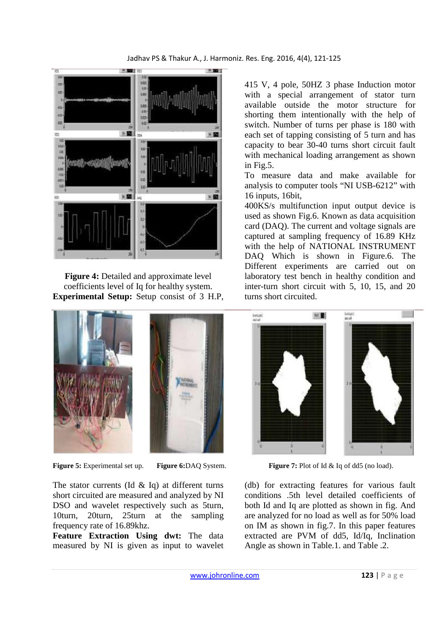

**Figure 4:** Detailed and approximate level coefficients level of Iq for healthy system. **Experimental Setup:** Setup consist of 3 H.P,



The stator currents (Id  $\&$  Iq) at different turns short circuited are measured and analyzed by NI DSO and wavelet respectively such as 5turn, 10turn, 20turn, 25turn at the sampling frequency rate of 16.89khz.

**Feature Extraction Using dwt:** The data measured by NI is given as input to wavelet 415 V, 4 pole, 50HZ 3 phase Induction motor with a special arrangement of stator turn available outside the motor structure for shorting them intentionally with the help of switch. Number of turns per phase is 180 with each set of tapping consisting of 5 turn and has capacity to bear 30-40 turns short circuit fault with mechanical loading arrangement as shown in Fig.5.

To measure data and make available for analysis to computer tools "NI USB-6212" with 16 inputs, 16bit,

400KS/s multifunction input output device is used as shown Fig.6. Known as data acquisition card (DAQ). The current and voltage signals are captured at sampling frequency of 16.89 KHz with the help of NATIONAL INSTRUMENT DAQ Which is shown in Figure.6. The Different experiments are carried out on laboratory test bench in healthy condition and inter-turn short circuit with 5, 10, 15, and 20 turns short circuited.



**Figure 5:** Experimental set up. **Figure 6:** DAO System. **Figure 7:** Plot of Id & Iq of dd5 (no load).

(db) for extracting features for various fault conditions .5th level detailed coefficients of both Id and Iq are plotted as shown in fig. And are analyzed for no load as well as for 50% load on IM as shown in fig.7. In this paper features extracted are PVM of dd5, Id/Iq, Inclination Angle as shown in Table.1. and Table .2.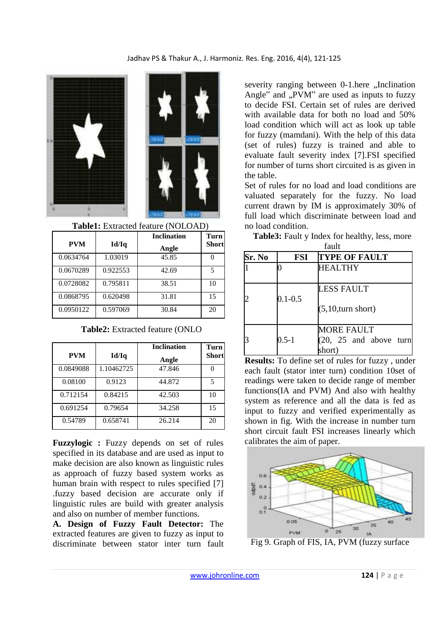



**Table1:** Extracted feature (NOLOAD)

|           |          | <b>Inclination</b> | Turn         |
|-----------|----------|--------------------|--------------|
| PVM       | Id/Iq    | Angle              | <b>Short</b> |
| 0.0634764 | 1.03019  | 45.85              |              |
| 0.0670289 | 0.922553 | 42.69              | 5            |
| 0.0728082 | 0.795811 | 38.51              | 10           |
| 0.0868795 | 0.620498 | 31.81              | 15           |
| 0.0950122 | 0.597069 | 30.84              | 20           |

**Table2:** Extracted feature (ONLO

|            |            | <b>Inclination</b> | Turn         |
|------------|------------|--------------------|--------------|
| <b>PVM</b> | Id/Iq      | Angle              | <b>Short</b> |
| 0.0849088  | 1.10462725 | 47.846             |              |
| 0.08100    | 0.9123     | 44.872             | 5            |
| 0.712154   | 0.84215    | 42.503             | 10           |
| 0.691254   | 0.79654    | 34.258             | 15           |
| 0.54789    | 0.658741   | 26.214             | 20           |

**Fuzzylogic :** Fuzzy depends on set of rules specified in its database and are used as input to make decision are also known as linguistic rules as approach of fuzzy based system works as human brain with respect to rules specified [7] .fuzzy based decision are accurate only if linguistic rules are build with greater analysis and also on number of member functions.

**A. Design of Fuzzy Fault Detector:** The extracted features are given to fuzzy as input to discriminate between stator inter turn fault severity ranging between 0-1.here "Inclination Angle $\degree$  and  $PVM\degree$  are used as inputs to fuzzy to decide FSI. Certain set of rules are derived with available data for both no load and 50% load condition which will act as look up table for fuzzy (mamdani). With the help of this data (set of rules) fuzzy is trained and able to evaluate fault severity index [7].FSI specified for number of turns short circuited is as given in the table.

Set of rules for no load and load conditions are valuated separately for the fuzzy. No load current drawn by IM is approximately 30% of full load which discriminate between load and no load condition.

| Sr. No | FSI         | <b>TYPE OF FAULT</b>                                    |
|--------|-------------|---------------------------------------------------------|
|        |             | <b>HEALTHY</b>                                          |
|        | $0.1 - 0.5$ | LESS FAULT<br>(5,10, turn short)                        |
|        | $0.5 - 1$   | <b>MORE FAULT</b><br>$(20, 25$ and above turn<br>short) |

**Table3:** Fault y Index for healthy, less, more fault

**Results:** To define set of rules for fuzzy , under each fault (stator inter turn) condition 10set of readings were taken to decide range of member functions(IA and PVM) And also with healthy system as reference and all the data is fed as input to fuzzy and verified experimentally as shown in fig. With the increase in number turn short circuit fault FSI increases linearly which calibrates the aim of paper.



Fig 9. Graph of FIS, IA, PVM (fuzzy surface